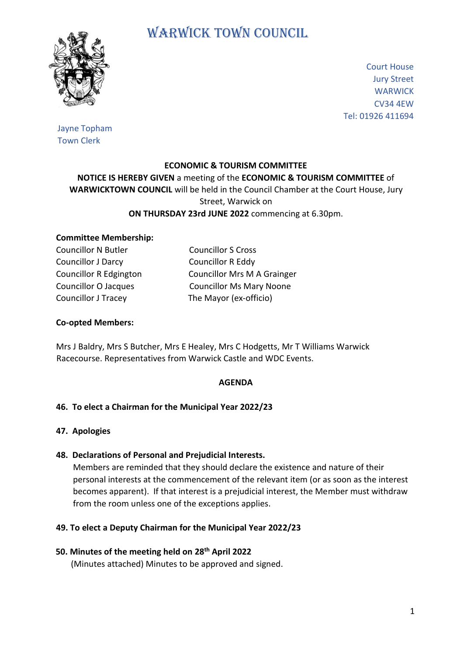

# WARWICK TOWN COUNCIL

Court House Jury Street **WARWICK** CV34 4EW Tel: 01926 411694

Jayne Topham Town Clerk

### **ECONOMIC & TOURISM COMMITTEE**

## **NOTICE IS HEREBY GIVEN** a meeting of the **ECONOMIC & TOURISM COMMITTEE** of **WARWICKTOWN COUNCIL** will be held in the Council Chamber at the Court House, Jury Street, Warwick on **ON THURSDAY 23rd JUNE 2022** commencing at 6.30pm.

#### **Committee Membership:**

Councillor N Butler Councillor S Cross Councillor J Darcy Councillor R Eddy Councillor J Tracey The Mayor (ex-officio)

Councillor R Edgington Councillor Mrs M A Grainger Councillor O Jacques Councillor Ms Mary Noone

### **Co-opted Members:**

Mrs J Baldry, Mrs S Butcher, Mrs E Healey, Mrs C Hodgetts, Mr T Williams Warwick Racecourse. Representatives from Warwick Castle and WDC Events.

### **AGENDA**

### **46. To elect a Chairman for the Municipal Year 2022/23**

#### **47. Apologies**

### **48. Declarations of Personal and Prejudicial Interests.**

 Members are reminded that they should declare the existence and nature of their personal interests at the commencement of the relevant item (or as soon as the interest becomes apparent). If that interest is a prejudicial interest, the Member must withdraw from the room unless one of the exceptions applies.

### **49. To elect a Deputy Chairman for the Municipal Year 2022/23**

### **50. Minutes of the meeting held on 28th April 2022**

(Minutes attached) Minutes to be approved and signed.